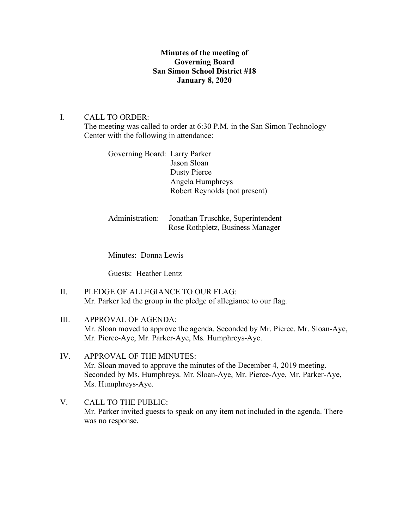# **Minutes of the meeting of Governing Board San Simon School District #18 January 8, 2020**

## I. CALL TO ORDER:

The meeting was called to order at 6:30 P.M. in the San Simon Technology Center with the following in attendance:

Governing Board: Larry Parker Jason Sloan Dusty Pierce Angela Humphreys Robert Reynolds (not present)

Administration: Jonathan Truschke, Superintendent Rose Rothpletz, Business Manager

Minutes: Donna Lewis

Guests: Heather Lentz

- II. PLEDGE OF ALLEGIANCE TO OUR FLAG: Mr. Parker led the group in the pledge of allegiance to our flag.
- III. APPROVAL OF AGENDA: Mr. Sloan moved to approve the agenda. Seconded by Mr. Pierce. Mr. Sloan-Aye, Mr. Pierce-Aye, Mr. Parker-Aye, Ms. Humphreys-Aye.
- IV. APPROVAL OF THE MINUTES: Mr. Sloan moved to approve the minutes of the December 4, 2019 meeting. Seconded by Ms. Humphreys. Mr. Sloan-Aye, Mr. Pierce-Aye, Mr. Parker-Aye, Ms. Humphreys-Aye.
- V. CALL TO THE PUBLIC: Mr. Parker invited guests to speak on any item not included in the agenda. There was no response.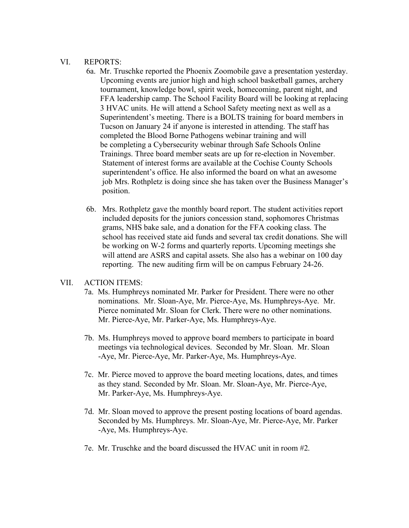#### VI. REPORTS:

- 6a. Mr. Truschke reported the Phoenix Zoomobile gave a presentation yesterday. Upcoming events are junior high and high school basketball games, archery tournament, knowledge bowl, spirit week, homecoming, parent night, and FFA leadership camp. The School Facility Board will be looking at replacing 3 HVAC units. He will attend a School Safety meeting next as well as a Superintendent's meeting. There is a BOLTS training for board members in Tucson on January 24 if anyone is interested in attending. The staff has completed the Blood Borne Pathogens webinar training and will be completing a Cybersecurity webinar through Safe Schools Online Trainings. Three board member seats are up for re-election in November. Statement of interest forms are available at the Cochise County Schools superintendent's office. He also informed the board on what an awesome job Mrs. Rothpletz is doing since she has taken over the Business Manager's position.
- 6b. Mrs. Rothpletz gave the monthly board report. The student activities report included deposits for the juniors concession stand, sophomores Christmas grams, NHS bake sale, and a donation for the FFA cooking class. The school has received state aid funds and several tax credit donations. She will be working on W-2 forms and quarterly reports. Upcoming meetings she will attend are ASRS and capital assets. She also has a webinar on 100 day reporting. The new auditing firm will be on campus February 24-26.

## VII. ACTION ITEMS:

- 7a. Ms. Humphreys nominated Mr. Parker for President. There were no other nominations. Mr. Sloan-Aye, Mr. Pierce-Aye, Ms. Humphreys-Aye. Mr. Pierce nominated Mr. Sloan for Clerk. There were no other nominations. Mr. Pierce-Aye, Mr. Parker-Aye, Ms. Humphreys-Aye.
- 7b. Ms. Humphreys moved to approve board members to participate in board meetings via technological devices. Seconded by Mr. Sloan. Mr. Sloan -Aye, Mr. Pierce-Aye, Mr. Parker-Aye, Ms. Humphreys-Aye.
- 7c. Mr. Pierce moved to approve the board meeting locations, dates, and times as they stand. Seconded by Mr. Sloan. Mr. Sloan-Aye, Mr. Pierce-Aye, Mr. Parker-Aye, Ms. Humphreys-Aye.
- 7d. Mr. Sloan moved to approve the present posting locations of board agendas. Seconded by Ms. Humphreys. Mr. Sloan-Aye, Mr. Pierce-Aye, Mr. Parker -Aye, Ms. Humphreys-Aye.
- 7e. Mr. Truschke and the board discussed the HVAC unit in room #2.